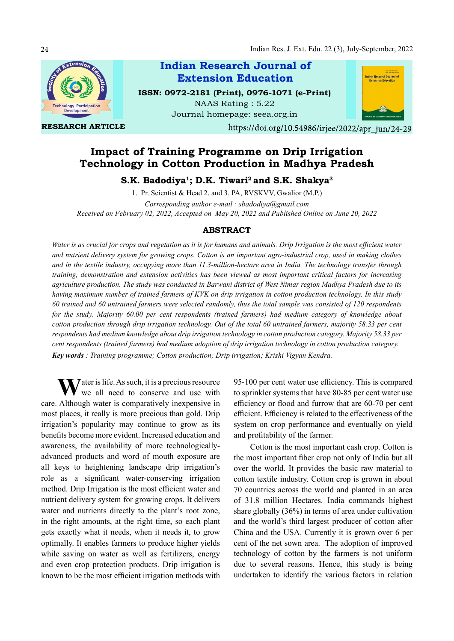

RESEARCH ARTICLE

Indian Research Journal of ISSN: 0972-2181 (Print), 0976-1071 (e-Print) Extension Education

NAAS Rating : 5.22 Journal homepage: seea.org.in



https://doi.org/10.54986/irjee/2022/apr\_jun/24-29

# Impact of Training Programme on Drip Irrigation Technology in Cotton Production in Madhya Pradesh

S.K. Badodiya<sup>1</sup>; D.K. Tiwari<sup>2</sup> and S.K. Shakya<sup>3</sup>

1. Pr. Scientist & Head 2. and 3. PA, RVSKVV, Gwalior (M.P.)

Corresponding author e-mail : sbadodiya@gmail.com Received on February 02, 2022, Accepted on May 20, 2022 and Published Online on June 20, 2022

## ABSTRACT

Water is as crucial for crops and vegetation as it is for humans and animals. Drip Irrigation is the most efficient water and nutrient delivery system for growing crops. Cotton is an important agro-industrial crop, used in making clothes and in the textile industry, occupying more than 11.3-million-hectare area in India. The technology transfer through training, demonstration and extension activities has been viewed as most important critical factors for increasing agriculture production. The study was conducted in Barwani district of West Nimar region Madhya Pradesh due to its having maximum number of trained farmers of KVK on drip irrigation in cotton production technology. In this study 60 trained and 60 untrained farmers were selected randomly, thus the total sample was consisted of 120 respondents for the study. Majority 60.00 per cent respondents (trained farmers) had medium category of knowledge about cotton production through drip irrigation technology. Out of the total 60 untrained farmers, majority 58.33 per cent respondents had medium knowledge about drip irrigation technology in cotton production category. Majority 58.33 per cent respondents (trained farmers) had medium adoption of drip irrigation technology in cotton production category. Key words : Training programme; Cotton production; Drip irrigation; Krishi Vigyan Kendra.

 $\sum$  ater is life. As such, it is a precious resource we all need to conserve and use with care. Although water is comparatively inexpensive in most places, it really is more precious than gold. Drip irrigation's popularity may continue to grow as its benefits become more evident. Increased education and awareness, the availability of more technologicallyadvanced products and word of mouth exposure are all keys to heightening landscape drip irrigation's role as a significant water-conserving irrigation method. Drip Irrigation is the most efficient water and nutrient delivery system for growing crops. It delivers water and nutrients directly to the plant's root zone, in the right amounts, at the right time, so each plant gets exactly what it needs, when it needs it, to grow optimally. It enables farmers to produce higher yields while saving on water as well as fertilizers, energy and even crop protection products. Drip irrigation is known to be the most efficient irrigation methods with

95-100 per cent water use efficiency. This is compared to sprinkler systems that have 80-85 per cent water use efficiency or flood and furrow that are 60-70 per cent efficient. Efficiency is related to the effectiveness of the system on crop performance and eventually on yield and profitability of the farmer.

Cotton is the most important cash crop. Cotton is the most important fiber crop not only of India but all over the world. It provides the basic raw material to cotton textile industry. Cotton crop is grown in about 70 countries across the world and planted in an area of 31.8 million Hectares. India commands highest share globally (36%) in terms of area under cultivation and the world's third largest producer of cotton after China and the USA. Currently it is grown over 6 per cent of the net sown area. The adoption of improved technology of cotton by the farmers is not uniform due to several reasons. Hence, this study is being undertaken to identify the various factors in relation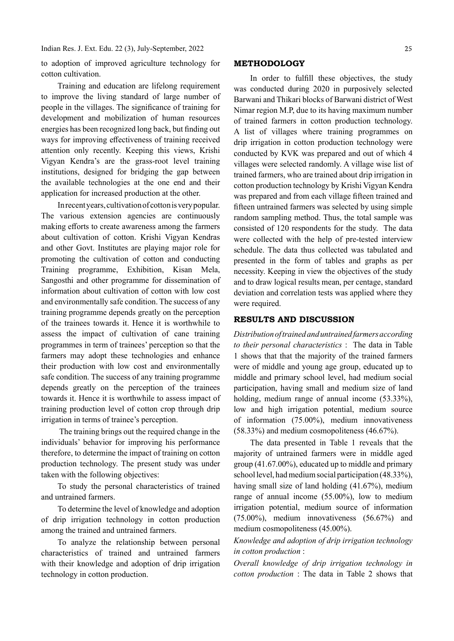Indian Res. J. Ext. Edu. 22 (3), July-September, 2022

to adoption of improved agriculture technology for cotton cultivation.

Training and education are lifelong requirement to improve the living standard of large number of people in the villages. The significance of training for development and mobilization of human resources energies has been recognized long back, but finding out ways for improving effectiveness of training received attention only recently. Keeping this views, Krishi Vigyan Kendra's are the grass-root level training institutions, designed for bridging the gap between the available technologies at the one end and their application for increased production at the other.

In recent years, cultivation of cotton is very popular. The various extension agencies are continuously making efforts to create awareness among the farmers about cultivation of cotton. Krishi Vigyan Kendras and other Govt. Institutes are playing major role for promoting the cultivation of cotton and conducting Training programme, Exhibition, Kisan Mela, Sangosthi and other programme for dissemination of information about cultivation of cotton with low cost and environmentally safe condition. The success of any training programme depends greatly on the perception of the trainees towards it. Hence it is worthwhile to assess the impact of cultivation of cane training programmes in term of trainees' perception so that the farmers may adopt these technologies and enhance their production with low cost and environmentally safe condition. The success of any training programme depends greatly on the perception of the trainees towards it. Hence it is worthwhile to assess impact of training production level of cotton crop through drip irrigation in terms of trainee's perception.

 The training brings out the required change in the individuals' behavior for improving his performance therefore, to determine the impact of training on cotton production technology. The present study was under taken with the following objectives:

To study the personal characteristics of trained and untrained farmers.

To determine the level of knowledge and adoption of drip irrigation technology in cotton production among the trained and untrained farmers.

To analyze the relationship between personal characteristics of trained and untrained farmers with their knowledge and adoption of drip irrigation technology in cotton production.

#### METHODOLOGY

In order to fulfill these objectives, the study was conducted during 2020 in purposively selected Barwani and Thikari blocks of Barwani district of West Nimar region M.P, due to its having maximum number of trained farmers in cotton production technology. A list of villages where training programmes on drip irrigation in cotton production technology were conducted by KVK was prepared and out of which 4 villages were selected randomly. A village wise list of trained farmers, who are trained about drip irrigation in cotton production technology by Krishi Vigyan Kendra was prepared and from each village fifteen trained and fifteen untrained farmers was selected by using simple random sampling method. Thus, the total sample was consisted of 120 respondents for the study. The data were collected with the help of pre-tested interview schedule. The data thus collected was tabulated and presented in the form of tables and graphs as per necessity. Keeping in view the objectives of the study and to draw logical results mean, per centage, standard deviation and correlation tests was applied where they were required.

### RESULTS AND DISCUSSION

Distribution of trained and untrained farmers according to their personal characteristics : The data in Table 1 shows that that the majority of the trained farmers were of middle and young age group, educated up to middle and primary school level, had medium social participation, having small and medium size of land holding, medium range of annual income (53.33%), low and high irrigation potential, medium source of information (75.00%), medium innovativeness (58.33%) and medium cosmopoliteness (46.67%).

The data presented in Table 1 reveals that the majority of untrained farmers were in middle aged group (41.67.00%), educated up to middle and primary school level, had medium social participation (48.33%), having small size of land holding (41.67%), medium range of annual income (55.00%), low to medium irrigation potential, medium source of information (75.00%), medium innovativeness (56.67%) and medium cosmopoliteness (45.00%).

Knowledge and adoption of drip irrigation technology in cotton production :

Overall knowledge of drip irrigation technology in cotton production : The data in Table 2 shows that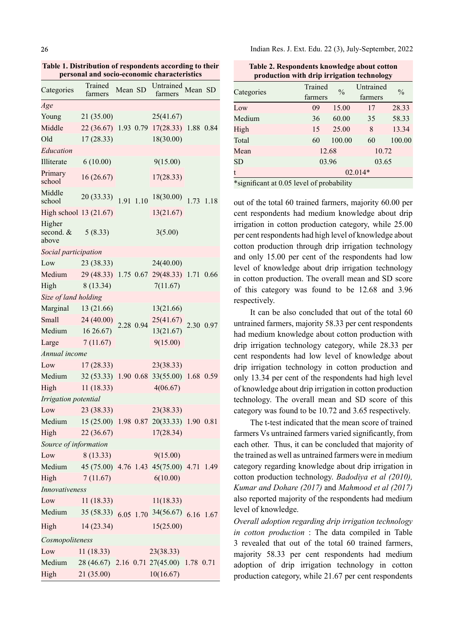Table 1. Distribution of respondents according to their personal and socio-economic characteristics

| Categories                                       | Trained<br>farmers                        | Mean SD   |           | Untrained Mean SD<br>farmers              |      |           |
|--------------------------------------------------|-------------------------------------------|-----------|-----------|-------------------------------------------|------|-----------|
| Age                                              |                                           |           |           |                                           |      |           |
| Young                                            | 21(35.00)                                 |           |           | 25(41.67)                                 |      |           |
| Middle                                           |                                           |           |           | 22 (36.67) 1.93 0.79 17(28.33) 1.88 0.84  |      |           |
| Old                                              | 17(28.33)                                 |           |           | 18(30.00)                                 |      |           |
| Education                                        |                                           |           |           |                                           |      |           |
| Illiterate                                       | 6(10.00)                                  |           |           | 9(15.00)                                  |      |           |
| Primary<br>school                                | 16(26.67)                                 |           |           | 17(28.33)                                 |      |           |
| Middle<br>school                                 | 20(33.33)                                 | 1.91 1.10 |           | 18(30.00)                                 | 1.73 | 1.18      |
| High school 13 (21.67)                           |                                           |           |           | 13(21.67)                                 |      |           |
| Higher<br>second. &<br>above                     | 5(8.33)                                   |           |           | 3(5.00)                                   |      |           |
| Social participation                             |                                           |           |           |                                           |      |           |
| Low                                              | 23(38.33)                                 |           |           | 24(40.00)                                 |      |           |
| Medium                                           | 29 (48.33) 1.75 0.67 29 (48.33) 1.71 0.66 |           |           |                                           |      |           |
| High                                             | 8 (13.34)                                 |           |           | 7(11.67)                                  |      |           |
| Size of land holding                             |                                           |           |           |                                           |      |           |
| Marginal 13 (21.66)                              |                                           |           |           | 13(21.66)                                 |      |           |
| Small                                            | 24 (40.00)                                |           | 2.28 0.94 | 25(41.67)                                 |      | 2.30 0.97 |
| Medium                                           | $16\,26.67$                               |           |           | 13(21.67)                                 |      |           |
| Large                                            | 7(11.67)                                  |           |           | 9(15.00)                                  |      |           |
| Annual income                                    |                                           |           |           |                                           |      |           |
| Low                                              | 17(28.33)                                 |           |           | 23(38.33)                                 |      |           |
| Medium                                           |                                           |           |           | 32 (53.33) 1.90 0.68 33 (55.00) 1.68 0.59 |      |           |
| High                                             | 11(18.33)                                 |           |           | 4(06.67)                                  |      |           |
| Irrigation potential                             |                                           |           |           |                                           |      |           |
| Low                                              | 23 (38.33)                                |           |           | 23(38.33)                                 |      |           |
| Medium 15 (25.00) 1.98 0.87 20(33.33) 1.90 0.81  |                                           |           |           |                                           |      |           |
| High                                             | 22(36.67)                                 |           |           | 17(28.34)                                 |      |           |
| Source of information                            |                                           |           |           |                                           |      |           |
| Low                                              | 8 (13.33)                                 |           |           | 9(15.00)                                  |      |           |
| Medium 45 (75.00) 4.76 1.43 45 (75.00) 4.71 1.49 |                                           |           |           |                                           |      |           |
| High                                             | 7(11.67)                                  |           |           | 6(10.00)                                  |      |           |
| Innovativeness                                   |                                           |           |           |                                           |      |           |
| Low                                              | 11(18.33)                                 |           |           | 11(18.33)                                 |      |           |
| Medium                                           | $35(58.33)$ 6.05 1.70                     |           |           | 34(56.67) 6.16 1.67                       |      |           |
| High                                             | 14(23.34)                                 |           |           | 15(25.00)                                 |      |           |
| Cosmopoliteness                                  |                                           |           |           |                                           |      |           |
| Low                                              | 11(18.33)                                 |           |           | 23(38.33)                                 |      |           |
| Medium                                           | 28 (46.67) 2.16 0.71 27 (45.00) 1.78 0.71 |           |           |                                           |      |           |
| High                                             | 21 (35.00)                                |           |           | 10(16.67)                                 |      |           |

| Table 2. Respondents knowledge about cotton<br>production with drip irrigation technology |         |               |           |               |
|-------------------------------------------------------------------------------------------|---------|---------------|-----------|---------------|
|                                                                                           | Trained |               | Untrained | $\frac{0}{0}$ |
| Categories                                                                                | farmers | $\frac{0}{0}$ | farmers   |               |
| Low                                                                                       | 09      | 15.00         | 17        | 28.33         |
| Medium                                                                                    | 36      | 60.00         | 35        | 58.33         |
| High                                                                                      | 15      | 25.00         | 8         | 13.34         |
| Total                                                                                     | 60      | 100.00        | 60        | 100.00        |
| Mean                                                                                      | 12.68   |               | 10.72     |               |
| <b>SD</b>                                                                                 | 03.96   |               | 03.65     |               |
|                                                                                           |         |               | $02.014*$ |               |
| *significant at 0.05 level of probability                                                 |         |               |           |               |

Table 2. Respondents knowledge about cotton

out of the total 60 trained farmers, majority 60.00 per cent respondents had medium knowledge about drip irrigation in cotton production category, while 25.00 per cent respondents had high level of knowledge about cotton production through drip irrigation technology and only 15.00 per cent of the respondents had low level of knowledge about drip irrigation technology in cotton production. The overall mean and SD score of this category was found to be 12.68 and 3.96 respectively.

It can be also concluded that out of the total 60 untrained farmers, majority 58.33 per cent respondents had medium knowledge about cotton production with drip irrigation technology category, while 28.33 per cent respondents had low level of knowledge about drip irrigation technology in cotton production and only 13.34 per cent of the respondents had high level of knowledge about drip irrigation in cotton production technology. The overall mean and SD score of this category was found to be 10.72 and 3.65 respectively.

The t-test indicated that the mean score of trained farmers Vs untrained farmers varied significantly, from each other. Thus, it can be concluded that majority of the trained as well as untrained farmers were in medium category regarding knowledge about drip irrigation in cotton production technology. Badodiya et al (2010), Kumar and Dohare (2017) and Mahmood et al (2017) also reported majority of the respondents had medium level of knowledge.

Overall adoption regarding drip irrigation technology in cotton production : The data compiled in Table 3 revealed that out of the total 60 trained farmers, majority 58.33 per cent respondents had medium adoption of drip irrigation technology in cotton production category, while 21.67 per cent respondents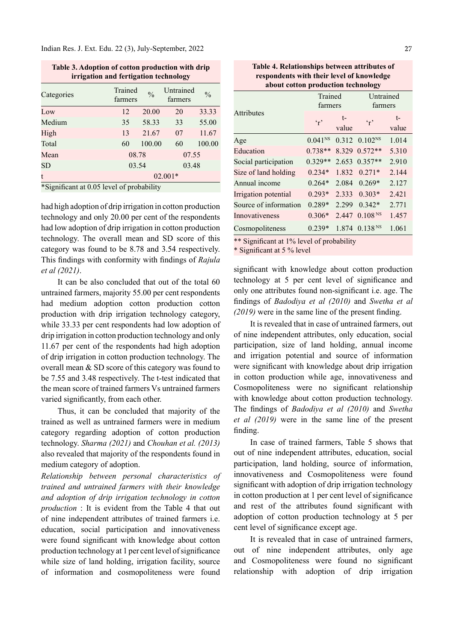Indian Res. J. Ext. Edu. 22 (3), July-September, 2022

Table 3. Adoption of cotton production with drip

| which we have here of concern higher than the property<br>irrigation and fertigation technology |                    |               |                      |               |
|-------------------------------------------------------------------------------------------------|--------------------|---------------|----------------------|---------------|
| Categories                                                                                      | Trained<br>farmers | $\frac{0}{0}$ | Untrained<br>farmers | $\frac{0}{0}$ |
| Low                                                                                             | 12                 | 20.00         | 20                   | 33.33         |
| Medium                                                                                          | 35                 | 58.33         | 33                   | 55.00         |
| High                                                                                            | 13                 | 21.67         | 07                   | 11.67         |
| Total                                                                                           | 60                 | 100.00        | 60                   | 100.00        |
| Mean                                                                                            | 08.78              |               | 07.55                |               |
| <b>SD</b>                                                                                       | 03.54              |               | 03.48                |               |
| t<br>$ - -$                                                                                     |                    |               | $02.001*$            |               |

\*Significant at 0.05 level of probability

had high adoption of drip irrigation in cotton production technology and only 20.00 per cent of the respondents had low adoption of drip irrigation in cotton production technology. The overall mean and SD score of this category was found to be 8.78 and 3.54 respectively. This findings with conformity with findings of Rajula et al (2021). It can be also concluded that out of the total 60

untrained farmers, majority 55.00 per cent respondents had medium adoption cotton production cotton production with drip irrigation technology category, while 33.33 per cent respondents had low adoption of drip irrigation in cotton production technology and only 11.67 per cent of the respondents had high adoption of drip irrigation in cotton production technology. The overall mean & SD score of this category was found to be 7.55 and 3.48 respectively. The t-test indicated that the mean score of trained farmers Vs untrained farmers varied significantly, from each other.

Thus, it can be concluded that majority of the trained as well as untrained farmers were in medium category regarding adoption of cotton production technology. Sharma (2021) and Chouhan et al. (2013) also revealed that majority of the respondents found in medium category of adoption.

Relationship between personal characteristics of trained and untrained farmers with their knowledge and adoption of drip irrigation technology in cotton production : It is evident from the Table 4 that out of nine independent attributes of trained farmers i.e. education, social participation and innovativeness were found significant with knowledge about cotton production technology at 1 per cent level of significance while size of land holding, irrigation facility, source of information and cosmopoliteness were found

Table 4. Relationships between attributes of respondents with their level of knowledge about cotton production technology

|                                                                                                                                       | Trained<br>farmers |             | Untrained<br>farmers      |               |
|---------------------------------------------------------------------------------------------------------------------------------------|--------------------|-------------|---------------------------|---------------|
| <b>Attributes</b>                                                                                                                     | $\cdot$ .          | t-<br>value | $\mathfrak{c}_r$          | $t-$<br>value |
| Age                                                                                                                                   | $0.041^{NS}$       |             | $0.312$ $0.102^{NS}$      | 1.014         |
| Education                                                                                                                             | $0.738**$          | 8.329       | $0.572**$                 | 5.310         |
| Social participation                                                                                                                  | $0.329**$          |             | $2.653$ 0.357**           | 2.910         |
| Size of land holding                                                                                                                  | $0.234*$           |             | $1.832 \quad 0.271*$      | 2.144         |
| Annual income                                                                                                                         | $0.264*$           | 2.084       | $0.269*$                  | 2.127         |
| Irrigation potential                                                                                                                  | $0.293*$           | 2.333       | $0.303*$                  | 2.421         |
| Source of information                                                                                                                 | $0.289*$           | 2.299       | $0.342*$                  | 2.771         |
| Innovativeness                                                                                                                        | $0.306*$           |             | 2.447 0.108 <sup>NS</sup> | 1.457         |
| Cosmopoliteness                                                                                                                       | $0.239*$           |             | 1.874 0.138 <sup>NS</sup> | 1.061         |
| $\mathcal{C}$ $\mathcal{C}$ $\mathcal{A}$ $\mathcal{A}$ 10/1 $\mathcal{A}$ 1 $\mathcal{C}$ 1 1 1 1 $\mathcal{C}$<br>$*$ $\sim$ $\sim$ |                    |             |                           |               |

\*\* Significant at 1% level of probability

\* Significant at 5 % level

significant with knowledge about cotton production technology at 5 per cent level of significance and only one attributes found non-significant i.e. age. The findings of Badodiya et al  $(2010)$  and Swetha et al  $(2019)$  were in the same line of the present finding.

It is revealed that in case of untrained farmers, out of nine independent attributes, only education, social participation, size of land holding, annual income and irrigation potential and source of information were significant with knowledge about drip irrigation in cotton production while age, innovativeness and Cosmopoliteness were no significant relationship with knowledge about cotton production technology. The findings of *Badodiya et al (2010)* and *Swetha* et al (2019) were in the same line of the present finding.

In case of trained farmers, Table 5 shows that out of nine independent attributes, education, social participation, land holding, source of information, innovativeness and Cosmopoliteness were found significant with adoption of drip irrigation technology in cotton production at 1 per cent level of significance and rest of the attributes found significant with adoption of cotton production technology at 5 per cent level of significance except age.

It is revealed that in case of untrained farmers, out of nine independent attributes, only age and Cosmopoliteness were found no significant relationship with adoption of drip irrigation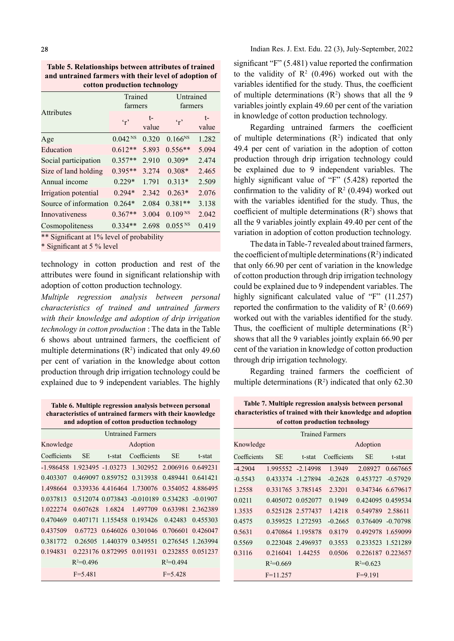Table 5. Relationships between attributes of trained and untrained farmers with their level of adoption of cotton production technology

|                       | Trained<br>farmers     |             |                       | Untrained<br>farmers |  |
|-----------------------|------------------------|-------------|-----------------------|----------------------|--|
| <b>Attributes</b>     | $\cdot$ r <sup>2</sup> | t-<br>value | $\cdot$ .             | $t-$<br>value        |  |
| Age                   | $0.042^{NS}$           | 0.320       | $0.166^{NS}$          | 1.282                |  |
| Education             | $0.612**$              | 5.893       | $0.556**$             | 5.094                |  |
| Social participation  | $0.357**$              | 2.910       | $0.309*$              | 2.474                |  |
| Size of land holding  | $0.395**$              | 3.274       | $0.308*$              | 2.465                |  |
| Annual income         | $0.229*$               | 1.791       | $0.313*$              | 2.509                |  |
| Irrigation potential  | $0.294*$               | 2.342       | $0.263*$              | 2.076                |  |
| Source of information | $0.264*$               | 2.084       | $0.381**$             | 3.138                |  |
| Innovativeness        | $0.367**$              | 3.004       | 0.109 <sup>NS</sup>   | 2.042                |  |
| Cosmopoliteness       | $0.334**$              | 2.698       | $0.055$ <sup>NS</sup> | 0.419                |  |

\*\* Significant at 1% level of probability

\* Significant at 5 % level

technology in cotton production and rest of the attributes were found in significant relationship with adoption of cotton production technology.

Multiple regression analysis between personal characteristics of trained and untrained farmers with their knowledge and adoption of drip irrigation technology in cotton production : The data in the Table 6 shows about untrained farmers, the coefficient of multiple determinations  $(R^2)$  indicated that only 49.60 per cent of variation in the knowledge about cotton production through drip irrigation technology could be explained due to 9 independent variables. The highly

| Table 6. Multiple regression analysis between personal    |
|-----------------------------------------------------------|
| characteristics of untrained farmers with their knowledge |
| and adoption of cotton production technology              |

|              |             |        | <b>Untrained Farmers</b>                      |                   |                   |           |
|--------------|-------------|--------|-----------------------------------------------|-------------------|-------------------|-----------|
| Knowledge    |             |        | Adoption                                      |                   |                   | Knowle    |
| Coefficients | SE.         | t-stat | Coefficients                                  | <b>SE</b>         | t-stat            | Coeffici  |
| -1.986458    |             |        | 1.923495 -1.03273 1.302952 2.006916 0.649231  |                   |                   | $-4.2904$ |
| 0.403307     |             |        | 0.469097 0.859752 0.313938 0.489441 0.641421  |                   |                   | $-0.5543$ |
| 1.498664     |             |        | 0.339336 4.416464 1.730076 0.354052 4.886495  |                   |                   | 1.2558    |
| 0.037813     |             |        | 0.512074 0.073843 -0.010189 0.534283 -0.01907 |                   |                   | 0.0211    |
| 1.022274     | 0.607628    | 1.6824 | 1.497709                                      |                   | 0.633981 2.362389 | 1.3535    |
| 0.470469     |             |        | 0.407171 1.155458 0.193426 0.42483 0.455303   |                   |                   | 0.4575    |
| 0.437509     |             |        | 0.67723 0.646026 0.301046                     | 0.706601 0.426047 |                   | 0.5631    |
| 0.381772     |             |        | 0.26505 1.440379 0.349551                     | 0.276545 1.263994 |                   | 0.5569    |
| 0.194831     |             |        | 0.223176 0.872995 0.011931                    |                   | 0.232855 0.051237 | 0.3116    |
|              | $R^2=0.496$ |        |                                               | $R^2=0.494$       |                   |           |
|              | $F = 5.481$ |        |                                               | $F = 5.428$       |                   |           |

significant "F"  $(5.481)$  value reported the confirmation to the validity of  $\mathbb{R}^2$  (0.496) worked out with the variables identified for the study. Thus, the coefficient of multiple determinations  $(R^2)$  shows that all the 9 variables jointly explain 49.60 per cent of the variation in knowledge of cotton production technology.

Regarding untrained farmers the coefficient of multiple determinations  $(R^2)$  indicated that only 49.4 per cent of variation in the adoption of cotton production through drip irrigation technology could be explained due to 9 independent variables. The highly significant value of "F"  $(5.428)$  reported the confirmation to the validity of  $\mathbb{R}^2$  (0.494) worked out with the variables identified for the study. Thus, the coefficient of multiple determinations  $(R^2)$  shows that all the 9 variables jointly explain 49.40 per cent of the variation in adoption of cotton production technology.

The data in Table-7 revealed about trained farmers, the coefficient of multiple determinations  $(R^2)$  indicated that only 66.90 per cent of variation in the knowledge of cotton production through drip irrigation technology could be explained due to 9 independent variables. The highly significant calculated value of "F"  $(11.257)$ reported the confirmation to the validity of  $\mathbb{R}^2$  (0.669) worked out with the variables identified for the study. Thus, the coefficient of multiple determinations  $(R<sup>2</sup>)$ shows that all the 9 variables jointly explain 66.90 per cent of the variation in knowledge of cotton production through drip irrigation technology.

Regarding trained farmers the coefficient of multiple determinations  $(R^2)$  indicated that only 62.30

| Table 7. Multiple regression analysis between personal       |
|--------------------------------------------------------------|
| characteristics of trained with their knowledge and adoption |
| of cotton production technology                              |

| <b>Trained Farmers</b> |                   |  |                             |                   |                  |
|------------------------|-------------------|--|-----------------------------|-------------------|------------------|
| Knowledge              |                   |  |                             | Adoption          |                  |
| Coefficients           | SE t-stat         |  | Coefficients SE             |                   | t-stat           |
| -4.2904                |                   |  | 1.995552 -2.14998 1.3949    |                   | 2.08927 0.667665 |
| $-0.5543$              |                   |  | $0.433374 -1.27894 -0.2628$ | 0.453727 -0.57929 |                  |
| 1.2558                 |                   |  | 0.331765 3.785145 2.3201    | 0.347346 6.679617 |                  |
| 0.0211                 |                   |  | 0.405072 0.052077 0.1949    | 0.424095 0.459534 |                  |
| 1.3535                 |                   |  | 0.525128 2.577437 1.4218    | 0.549789 2.58611  |                  |
| 0.4575                 | 0.359525 1.272593 |  | $-0.2665$                   | 0.376409 -0.70798 |                  |
| 0.5631                 | 0.470864 1.195878 |  | 0.8179                      | 0.492978 1.659099 |                  |
| 0.5569                 |                   |  | 0.223048 2.496937 0.3553    | 0.233523 1.521289 |                  |
| 0.3116                 | 0.216041 1.44255  |  | 0.0506                      | 0.226187 0.223657 |                  |
|                        | $R^2=0.669$       |  |                             | $R^2=0.623$       |                  |
|                        | $F=11.257$        |  |                             | $F=9.191$         |                  |